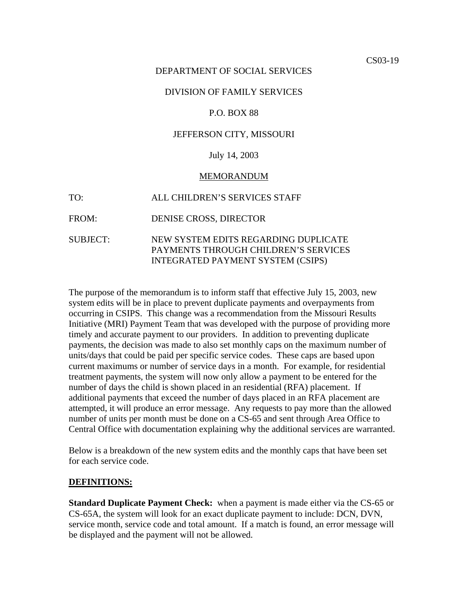#### DEPARTMENT OF SOCIAL SERVICES

#### DIVISION OF FAMILY SERVICES

#### P.O. BOX 88

#### JEFFERSON CITY, MISSOURI

#### July 14, 2003

#### MEMORANDUM

TO: ALL CHILDREN'S SERVICES STAFF

FROM: DENISE CROSS, DIRECTOR

#### SUBJECT: NEW SYSTEM EDITS REGARDING DUPLICATE PAYMENTS THROUGH CHILDREN'S SERVICES INTEGRATED PAYMENT SYSTEM (CSIPS)

The purpose of the memorandum is to inform staff that effective July 15, 2003, new system edits will be in place to prevent duplicate payments and overpayments from occurring in CSIPS. This change was a recommendation from the Missouri Results Initiative (MRI) Payment Team that was developed with the purpose of providing more timely and accurate payment to our providers. In addition to preventing duplicate payments, the decision was made to also set monthly caps on the maximum number of units/days that could be paid per specific service codes. These caps are based upon current maximums or number of service days in a month. For example, for residential treatment payments, the system will now only allow a payment to be entered for the number of days the child is shown placed in an residential (RFA) placement. If additional payments that exceed the number of days placed in an RFA placement are attempted, it will produce an error message. Any requests to pay more than the allowed number of units per month must be done on a CS-65 and sent through Area Office to Central Office with documentation explaining why the additional services are warranted.

Below is a breakdown of the new system edits and the monthly caps that have been set for each service code.

#### **DEFINITIONS:**

**Standard Duplicate Payment Check:** when a payment is made either via the CS-65 or CS-65A, the system will look for an exact duplicate payment to include: DCN, DVN, service month, service code and total amount. If a match is found, an error message will be displayed and the payment will not be allowed.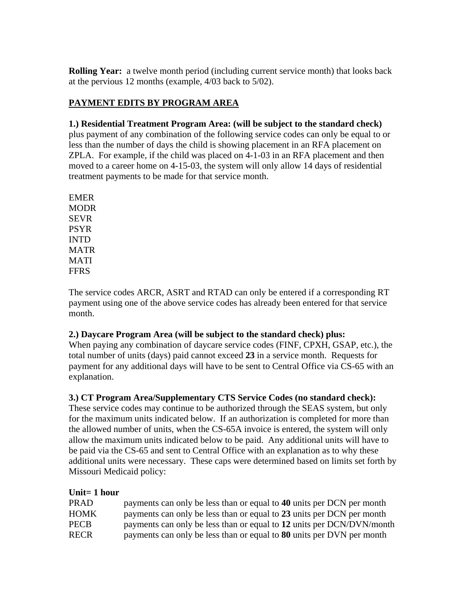**Rolling Year:** a twelve month period (including current service month) that looks back at the pervious 12 months (example, 4/03 back to 5/02).

# **PAYMENT EDITS BY PROGRAM AREA**

# **1.) Residential Treatment Program Area: (will be subject to the standard check)**

plus payment of any combination of the following service codes can only be equal to or less than the number of days the child is showing placement in an RFA placement on ZPLA. For example, if the child was placed on 4-1-03 in an RFA placement and then moved to a career home on 4-15-03, the system will only allow 14 days of residential treatment payments to be made for that service month.

EMER MODR SEVR PSYR INTD MATR MATI FFRS

The service codes ARCR, ASRT and RTAD can only be entered if a corresponding RT payment using one of the above service codes has already been entered for that service month.

## **2.) Daycare Program Area (will be subject to the standard check) plus:**

When paying any combination of daycare service codes (FINF, CPXH, GSAP, etc.), the total number of units (days) paid cannot exceed **23** in a service month. Requests for payment for any additional days will have to be sent to Central Office via CS-65 with an explanation.

## **3.) CT Program Area/Supplementary CTS Service Codes (no standard check):**

These service codes may continue to be authorized through the SEAS system, but only for the maximum units indicated below. If an authorization is completed for more than the allowed number of units, when the CS-65A invoice is entered, the system will only allow the maximum units indicated below to be paid. Any additional units will have to be paid via the CS-65 and sent to Central Office with an explanation as to why these additional units were necessary. These caps were determined based on limits set forth by Missouri Medicaid policy:

## **Unit= 1 hour**

| <b>PRAD</b> | payments can only be less than or equal to 40 units per DCN per month |
|-------------|-----------------------------------------------------------------------|
| <b>HOMK</b> | payments can only be less than or equal to 23 units per DCN per month |
| <b>PECB</b> | payments can only be less than or equal to 12 units per DCN/DVN/month |
| <b>RECR</b> | payments can only be less than or equal to 80 units per DVN per month |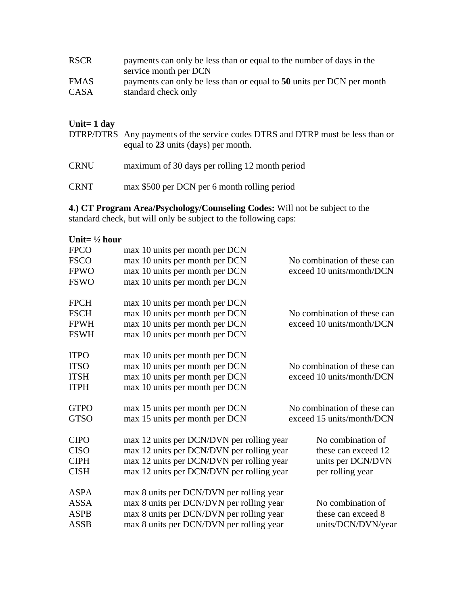| <b>RSCR</b> | payments can only be less than or equal to the number of days in the<br>service month per DCN |
|-------------|-----------------------------------------------------------------------------------------------|
| <b>FMAS</b> | payments can only be less than or equal to 50 units per DCN per month                         |
| CASA        | standard check only                                                                           |

#### **Unit= 1 day**

DTRP/DTRS Any payments of the service codes DTRS and DTRP must be less than or equal to **23** units (days) per month.

CRNU maximum of 30 days per rolling 12 month period

CRNT max \$500 per DCN per 6 month rolling period

**4.) CT Program Area/Psychology/Counseling Codes:** Will not be subject to the standard check, but will only be subject to the following caps:

| Unit= $\frac{1}{2}$ hour |                                           |                             |
|--------------------------|-------------------------------------------|-----------------------------|
| <b>FPCO</b>              | max 10 units per month per DCN            |                             |
| <b>FSCO</b>              | max 10 units per month per DCN            | No combination of these can |
| <b>FPWO</b>              | max 10 units per month per DCN            | exceed 10 units/month/DCN   |
| <b>FSWO</b>              | max 10 units per month per DCN            |                             |
| <b>FPCH</b>              | max 10 units per month per DCN            |                             |
| <b>FSCH</b>              | max 10 units per month per DCN            | No combination of these can |
| <b>FPWH</b>              | max 10 units per month per DCN            | exceed 10 units/month/DCN   |
| <b>FSWH</b>              | max 10 units per month per DCN            |                             |
| <b>ITPO</b>              | max 10 units per month per DCN            |                             |
| <b>ITSO</b>              | max 10 units per month per DCN            | No combination of these can |
| <b>ITSH</b>              | max 10 units per month per DCN            | exceed 10 units/month/DCN   |
| <b>ITPH</b>              | max 10 units per month per DCN            |                             |
| <b>GTPO</b>              | max 15 units per month per DCN            | No combination of these can |
| <b>GTSO</b>              | max 15 units per month per DCN            | exceed 15 units/month/DCN   |
| <b>CIPO</b>              | max 12 units per DCN/DVN per rolling year | No combination of           |
| <b>CISO</b>              | max 12 units per DCN/DVN per rolling year | these can exceed 12         |
| <b>CIPH</b>              | max 12 units per DCN/DVN per rolling year | units per DCN/DVN           |
| <b>CISH</b>              | max 12 units per DCN/DVN per rolling year | per rolling year            |
| <b>ASPA</b>              | max 8 units per DCN/DVN per rolling year  |                             |
| <b>ASSA</b>              | max 8 units per DCN/DVN per rolling year  | No combination of           |
| <b>ASPB</b>              | max 8 units per DCN/DVN per rolling year  | these can exceed 8          |
| <b>ASSB</b>              | max 8 units per DCN/DVN per rolling year  | units/DCN/DVN/year          |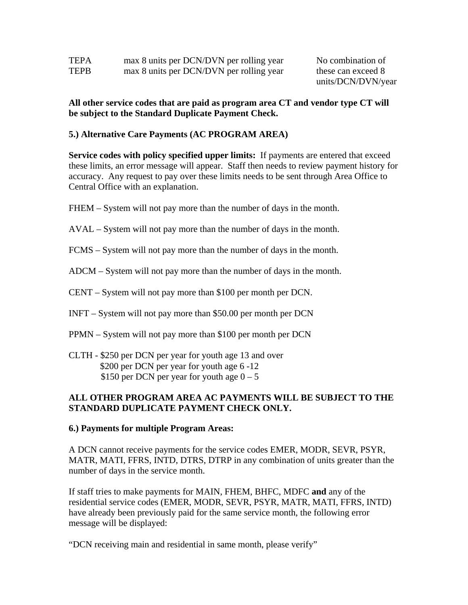| TEPA | max 8 units per DCN/DVN per rolling year |
|------|------------------------------------------|
| TEPB | max 8 units per DCN/DVN per rolling year |

No combination of these can exceed 8 units/DCN/DVN/year

### **All other service codes that are paid as program area CT and vendor type CT will be subject to the Standard Duplicate Payment Check.**

## **5.) Alternative Care Payments (AC PROGRAM AREA)**

**Service codes with policy specified upper limits:** If payments are entered that exceed these limits, an error message will appear. Staff then needs to review payment history for accuracy. Any request to pay over these limits needs to be sent through Area Office to Central Office with an explanation.

- FHEM System will not pay more than the number of days in the month.
- AVAL System will not pay more than the number of days in the month.
- FCMS System will not pay more than the number of days in the month.
- ADCM System will not pay more than the number of days in the month.
- CENT System will not pay more than \$100 per month per DCN.
- INFT System will not pay more than \$50.00 per month per DCN
- PPMN System will not pay more than \$100 per month per DCN
- CLTH \$250 per DCN per year for youth age 13 and over \$200 per DCN per year for youth age 6 -12 \$150 per DCN per year for youth age  $0 - 5$

### **ALL OTHER PROGRAM AREA AC PAYMENTS WILL BE SUBJECT TO THE STANDARD DUPLICATE PAYMENT CHECK ONLY.**

#### **6.) Payments for multiple Program Areas:**

A DCN cannot receive payments for the service codes EMER, MODR, SEVR, PSYR, MATR, MATI, FFRS, INTD, DTRS, DTRP in any combination of units greater than the number of days in the service month.

If staff tries to make payments for MAIN, FHEM, BHFC, MDFC **and** any of the residential service codes (EMER, MODR, SEVR, PSYR, MATR, MATI, FFRS, INTD) have already been previously paid for the same service month, the following error message will be displayed:

"DCN receiving main and residential in same month, please verify"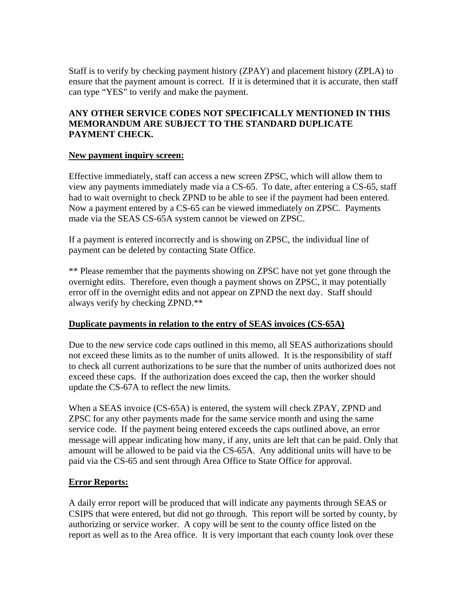Staff is to verify by checking payment history (ZPAY) and placement history (ZPLA) to ensure that the payment amount is correct. If it is determined that it is accurate, then staff can type "YES" to verify and make the payment.

## **ANY OTHER SERVICE CODES NOT SPECIFICALLY MENTIONED IN THIS MEMORANDUM ARE SUBJECT TO THE STANDARD DUPLICATE PAYMENT CHECK.**

### **New payment inquiry screen:**

Effective immediately, staff can access a new screen ZPSC, which will allow them to view any payments immediately made via a CS-65. To date, after entering a CS-65, staff had to wait overnight to check ZPND to be able to see if the payment had been entered. Now a payment entered by a CS-65 can be viewed immediately on ZPSC. Payments made via the SEAS CS-65A system cannot be viewed on ZPSC.

If a payment is entered incorrectly and is showing on ZPSC, the individual line of payment can be deleted by contacting State Office.

\*\* Please remember that the payments showing on ZPSC have not yet gone through the overnight edits. Therefore, even though a payment shows on ZPSC, it may potentially error off in the overnight edits and not appear on ZPND the next day. Staff should always verify by checking ZPND.\*\*

## **Duplicate payments in relation to the entry of SEAS invoices (CS-65A)**

Due to the new service code caps outlined in this memo, all SEAS authorizations should not exceed these limits as to the number of units allowed. It is the responsibility of staff to check all current authorizations to be sure that the number of units authorized does not exceed these caps. If the authorization does exceed the cap, then the worker should update the CS-67A to reflect the new limits.

When a SEAS invoice (CS-65A) is entered, the system will check ZPAY, ZPND and ZPSC for any other payments made for the same service month and using the same service code. If the payment being entered exceeds the caps outlined above, an error message will appear indicating how many, if any, units are left that can be paid. Only that amount will be allowed to be paid via the CS-65A. Any additional units will have to be paid via the CS-65 and sent through Area Office to State Office for approval.

## **Error Reports:**

A daily error report will be produced that will indicate any payments through SEAS or CSIPS that were entered, but did not go through. This report will be sorted by county, by authorizing or service worker. A copy will be sent to the county office listed on the report as well as to the Area office. It is very important that each county look over these